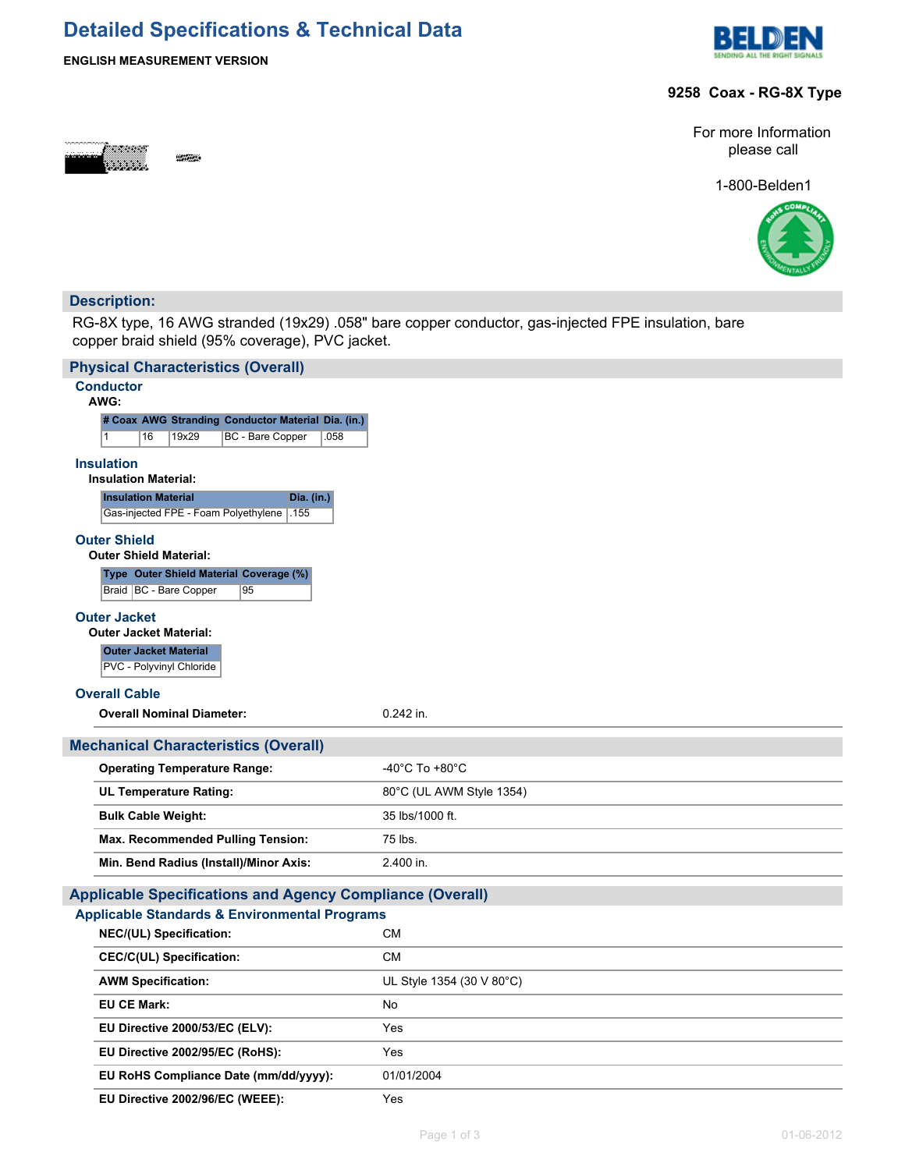# **Detailed Specifications & Technical Data**



## **ENGLISH MEASUREMENT VERSION**

### **9258 Coax - RG-8X Type**



For more Information please call

1-800-Belden1



## **Description:**

RG-8X type, 16 AWG stranded (19x29) .058" bare copper conductor, gas-injected FPE insulation, bare copper braid shield (95% coverage), PVC jacket.

| <b>Physical Characteristics (Overall)</b>                                                |                                      |
|------------------------------------------------------------------------------------------|--------------------------------------|
| <b>Conductor</b><br>AWG:                                                                 |                                      |
| # Coax AWG Stranding Conductor Material Dia. (in.)                                       |                                      |
| 19x29<br><b>BC</b> - Bare Copper<br>16<br>.058<br>1                                      |                                      |
| <b>Insulation</b><br><b>Insulation Material:</b>                                         |                                      |
| <b>Insulation Material</b><br>Dia. (in.)<br>.155<br>Gas-injected FPE - Foam Polyethylene |                                      |
| <b>Outer Shield</b><br><b>Outer Shield Material:</b>                                     |                                      |
| Type Outer Shield Material Coverage (%)                                                  |                                      |
| Braid   BC - Bare Copper<br>95                                                           |                                      |
| <b>Outer Jacket</b>                                                                      |                                      |
| <b>Outer Jacket Material:</b>                                                            |                                      |
| <b>Outer Jacket Material</b><br>PVC - Polyvinyl Chloride                                 |                                      |
| <b>Overall Cable</b>                                                                     |                                      |
| <b>Overall Nominal Diameter:</b>                                                         | 0.242 in.                            |
| <b>Mechanical Characteristics (Overall)</b>                                              |                                      |
| <b>Operating Temperature Range:</b>                                                      | -40 $^{\circ}$ C To +80 $^{\circ}$ C |
|                                                                                          |                                      |
| <b>UL Temperature Rating:</b>                                                            | 80°C (UL AWM Style 1354)             |
| <b>Bulk Cable Weight:</b>                                                                | 35 lbs/1000 ft.                      |
| Max. Recommended Pulling Tension:                                                        | 75 lbs.                              |
| Min. Bend Radius (Install)/Minor Axis:                                                   | 2.400 in.                            |
| <b>Applicable Specifications and Agency Compliance (Overall)</b>                         |                                      |
| <b>Applicable Standards &amp; Environmental Programs</b>                                 |                                      |
| NEC/(UL) Specification:                                                                  | СM                                   |
| <b>CEC/C(UL) Specification:</b>                                                          | <b>CM</b>                            |
| <b>AWM Specification:</b>                                                                | UL Style 1354 (30 V 80°C)            |
| <b>EU CE Mark:</b>                                                                       | <b>No</b>                            |
| EU Directive 2000/53/EC (ELV):                                                           | Yes                                  |
| EU Directive 2002/95/EC (RoHS):                                                          | Yes                                  |
| EU RoHS Compliance Date (mm/dd/yyyy):                                                    | 01/01/2004                           |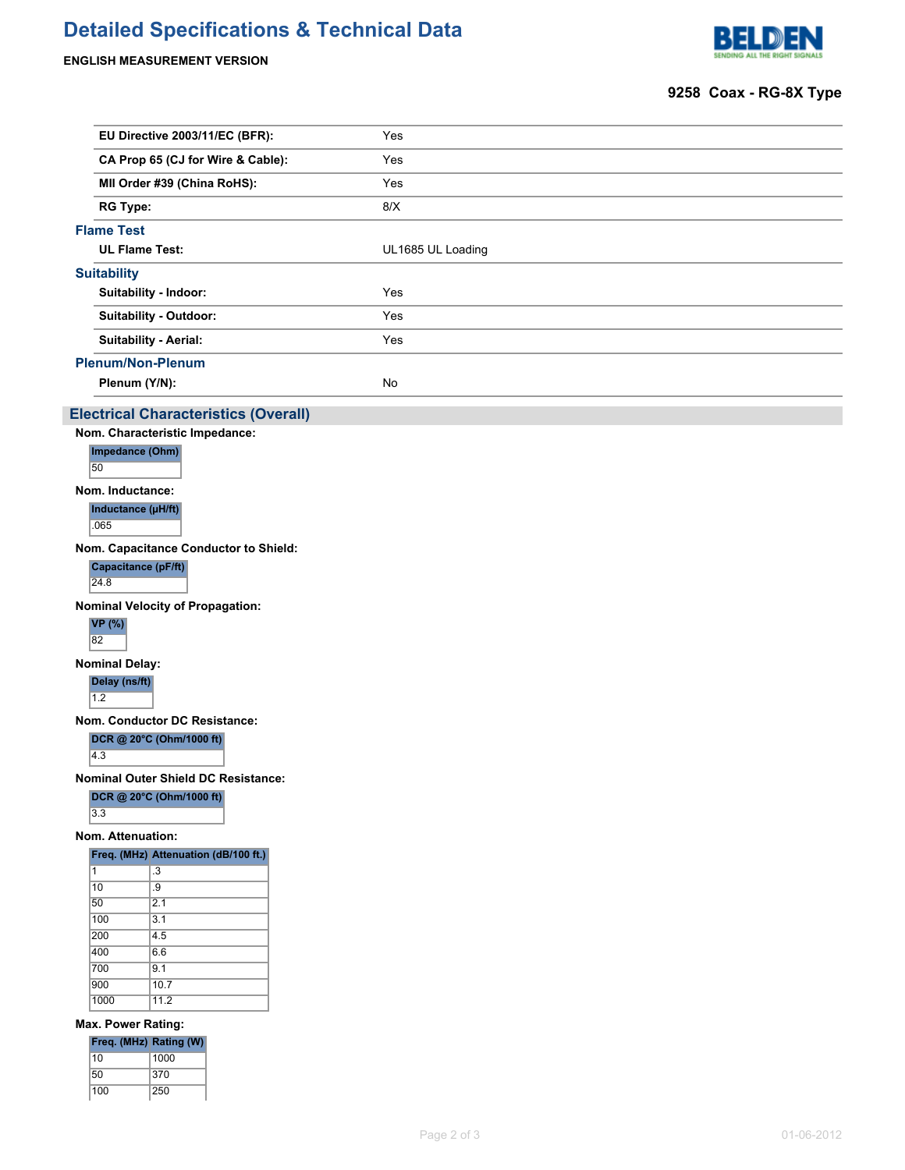## **Detailed Specifications & Technical Data**

**ENGLISH MEASUREMENT VERSION**



### **9258 Coax - RG-8X Type**

| EU Directive 2003/11/EC (BFR):    | Yes               |
|-----------------------------------|-------------------|
| CA Prop 65 (CJ for Wire & Cable): | Yes               |
| MII Order #39 (China RoHS):       | Yes               |
| <b>RG Type:</b>                   | 8/X               |
| <b>Flame Test</b>                 |                   |
| <b>UL Flame Test:</b>             | UL1685 UL Loading |
| <b>Suitability</b>                |                   |
| Suitability - Indoor:             | Yes               |
| Suitability - Outdoor:            | Yes               |
| <b>Suitability - Aerial:</b>      | Yes               |
| <b>Plenum/Non-Plenum</b>          |                   |
| Plenum (Y/N):                     | No                |

#### **Electrical Characteristics (Overall)**

**Nom. Characteristic Impedance:**

**Impedance (Ohm)**

50

**Nom. Inductance:**

**Inductance (µH/ft)** .065

**Nom. Capacitance Conductor to Shield:**

**Capacitance (pF/ft)**

24.8

**Nominal Velocity of Propagation:**



**Nominal Delay:**

**Delay (ns/ft)**  $\overline{1.2}$ 

**Nom. Conductor DC Resistance:**

**DCR @ 20°C (Ohm/1000 ft)**

 $\overline{4.3}$ 

**Nominal Outer Shield DC Resistance:**

|     | DCR @ 20°C (Ohm/1000 ft) |
|-----|--------------------------|
| 3.3 |                          |

### **Nom. Attenuation:**

| Freq. (MHz) Attenuation (dB/100 ft.) |  |
|--------------------------------------|--|
|--------------------------------------|--|

| 1    | .3   |
|------|------|
| 10   | .9   |
| 50   | 2.1  |
| 100  | 3.1  |
| 200  | 4.5  |
| 400  | 6.6  |
| 700  | 9.1  |
| 900  | 10.7 |
| 1000 | 11.2 |
|      |      |

#### **Max. Power Rating:**

| Freq. (MHz) Rating (W) |      |
|------------------------|------|
| 10                     | 1000 |
| 50                     | 370  |
| 100                    | 250  |